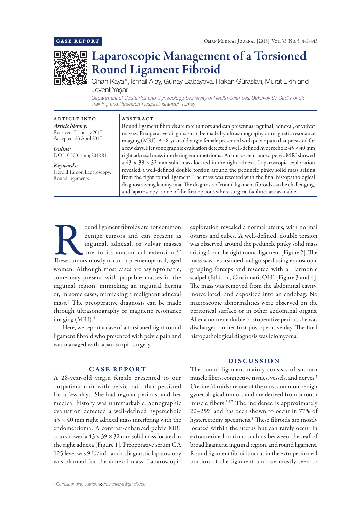

# Laparoscopic Management of a Torsioned Round Ligament Fibroid

Cihan Kaya\*, İsmail Alay, Günay Babayeva, Hakan Güraslan, Murat Ekin and Levent Yaşar

*Department of Obstetrics and Gynecology, University of Health Sciences, Bakirkoy Dr. Sadi Konuk Training and Research Hospital, Istanbul, Turkey*

ARTICLE INFO *Article history:* Received: 7 January 2017 Accepted: 23 April 2017

*Online:* DOI 10.5001/omj.2018.81

## *Keywords:*  Fibroid Tumor; Laparoscopy; Round Ligaments.

Round ligament fibroids are rare tumors and can present as inguinal, adnexal, or vulvar masses. Preoperative diagnosis can be made by ultrasonography or magnetic resonance imaging (MRI). A 28-year-old virgin female presented with pelvic pain that persisted for a few days. Her sonographic evaluation detected a well-defined hyperechoic  $45 \times 40$  mm right adnexal mass interfering endometrioma. A contrast-enhanced pelvic MRI showed  $a$  43  $\times$  39  $\times$  32 mm solid mass located in the right adnexa. Laparoscopic exploration revealed a well-defined double torsion around the peduncle pinky solid mass arising from the right round ligament. The mass was resected with the final histopathological diagnosis being leiomyoma. The diagnosis of round ligament fibroids can be challenging, and laparoscopy is one of the first options where surgical facilities are available.

Sound ligament fibroids are not common<br>
benign tumors and can present as<br>
inguinal, adnexal, or vulvar masses<br>
due to its anatomical extension.<sup>1,2</sup><br>
These tumors mostly occur in premenopausal, aged benign tumors and can present as inguinal, adnexal, or vulvar masses due to its anatomical extension.<sup>1,2</sup> women. Although most cases are asymptomatic, some may present with palpable masses in the inguinal region, mimicking an inguinal hernia or, in some cases, mimicking a malignant adnexal mass.3 The preoperative diagnosis can be made through ultrasonography or magnetic resonance imaging  $(MRI).<sup>4</sup>$ 

ABSTRACT

Here, we report a case of a torsioned right round ligament fibroid who presented with pelvic pain and was managed with laparoscopic surgery.

# CASE REPORT

A 28-year-old virgin female presented to our outpatient unit with pelvic pain that persisted for a few days. She had regular periods, and her medical history was unremarkable. Sonographic evaluation detected a well-defined hyperechoic  $45 \times 40$  mm right adnexal mass interfering with the endometrioma. A contrast-enhanced pelvic MRI scan showed a  $43 \times 39 \times 32$  mm solid mass located in the right adnexa [Figure 1]. Preoperative serum CA 125 level was 9 U/mL, and a diagnostic laparoscopy was planned for the adnexal mass. Laparoscopic

*\*Corresponding author: drcihankaya@gmail.com*

exploration revealed a normal uterus, with normal ovaries and tubes. A well-defined, double torsion was observed around the peduncle pinky solid mass arising from the right round ligament [Figure 2]. The mass was detorsioned and grasped using endoscopic grasping forceps and resected with a Harmonic scalpel (Ethicon, Cincinnati, OH) [Figure 3 and 4]. The mass was removed from the abdominal cavity, morcellated, and deposited into an endobag. No macroscopic abnormalities were observed on the peritoneal surface or in other abdominal organs. After a nonremarkable postoperative period, she was discharged on her first postoperative day. The final histopathological diagnosis was leiomyoma.

## DISCUSSION

The round ligament mainly consists of smooth muscle fibers, connective tissues, vessels, and nerves.<sup>5</sup> Uterine fibroids are one of the most common benign gynecological tumors and are derived from smooth muscle fibers.3,6,7 The incidence is approximately 20–25% and has been shown to occur in 77% of hysterectomy specimens.8 These fibroids are mostly located within the uterus but can rarely occur in extrauterine locations such as between the leaf of broad ligament, inguinal region, and round ligament. Round ligament fibroids occur in the extraperitoneal portion of the ligament and are mostly seen to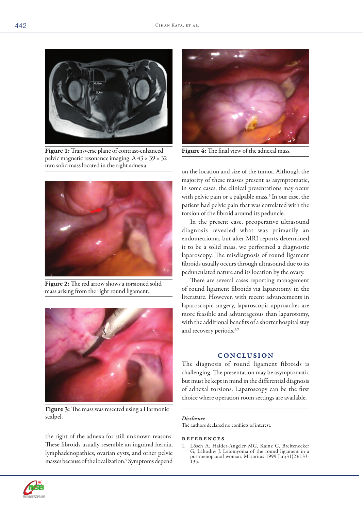

Figure 1: Transverse plane of contrast-enhanced pelvic magnetic resonance imaging. A  $43 \times 39 \times 32$ mm solid mass located in the right adnexa.



Figure 2: The red arrow shows a torsioned solid mass arising from the right round ligament.



Figure 3: The mass was resected using a Harmonic scalpel.

the right of the adnexa for still unknown reasons. These fibroids usually resemble an inguinal hernia, lymphadenopathies, ovarian cysts, and other pelvic masses because of the localization.9 Symptoms depend



Figure 4: The final view of the adnexal mass.

on the location and size of the tumor. Although the majority of these masses present as asymptomatic, in some cases, the clinical presentations may occur with pelvic pain or a palpable mass.3 In our case, the patient had pelvic pain that was correlated with the torsion of the fibroid around its peduncle.

In the present case, preoperative ultrasound diagnosis revealed what was primarily an endometrioma, but after MRI reports determined it to be a solid mass, we performed a diagnostic laparoscopy. The misdiagnosis of round ligament fibroids usually occurs through ultrasound due to its pedunculated nature and its location by the ovary.

There are several cases reporting management of round ligament fibroids via laparotomy in the literature. However, with recent advancements in laparoscopic surgery, laparoscopic approaches are more feasible and advantageous than laparotomy, with the additional benefits of a shorter hospital stay and recovery periods.<sup>3,9</sup>

## **CONCLUSION**

The diagnosis of round ligament fibroids is challenging. The presentation may be asymptomatic but must be kept in mind in the differential diagnosis of adnexal torsions. Laparoscopy can be the first choice where operation room settings are available.

#### *Disclosure*

The authors declared no conflicts of interest.

#### references

1. Lösch A, Haider-Angeler MG, Kainz C, Breitenecker G, Lahodny J. Leiomyoma of the round ligament in a postmenopausal woman. Maturitas 1999 Jan;31(2):133- 135.